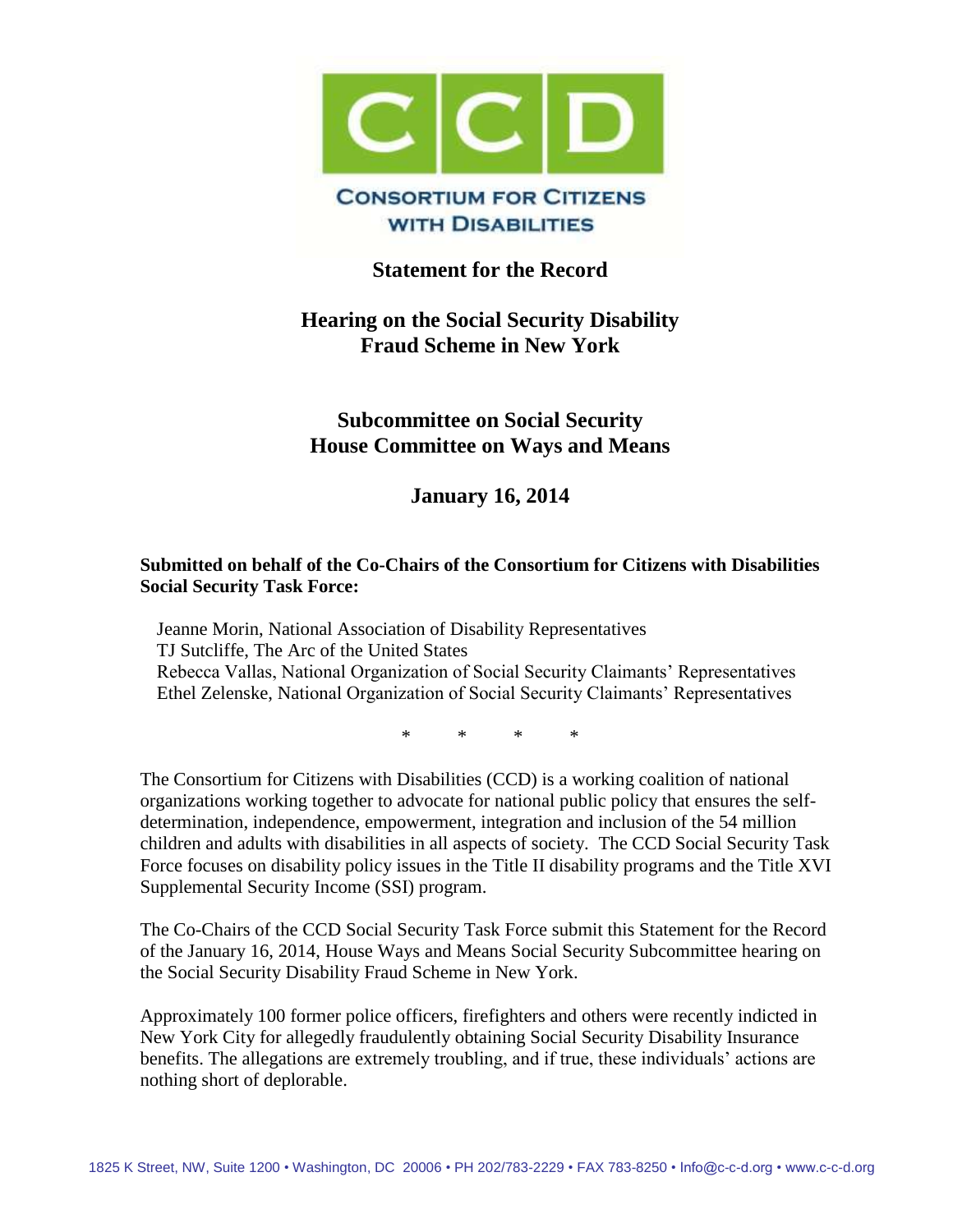

### **Statement for the Record**

# **Hearing on the Social Security Disability Fraud Scheme in New York**

## **Subcommittee on Social Security House Committee on Ways and Means**

**January 16, 2014**

#### **Submitted on behalf of the Co-Chairs of the Consortium for Citizens with Disabilities Social Security Task Force:**

Jeanne Morin, National Association of Disability Representatives TJ Sutcliffe, The Arc of the United States Rebecca Vallas, National Organization of Social Security Claimants' Representatives Ethel Zelenske, National Organization of Social Security Claimants' Representatives

\* \* \* \*

The Consortium for Citizens with Disabilities (CCD) is a working coalition of national organizations working together to advocate for national public policy that ensures the selfdetermination, independence, empowerment, integration and inclusion of the 54 million children and adults with disabilities in all aspects of society. The CCD Social Security Task Force focuses on disability policy issues in the Title II disability programs and the Title XVI Supplemental Security Income (SSI) program.

The Co-Chairs of the CCD Social Security Task Force submit this Statement for the Record of the January 16, 2014, House Ways and Means Social Security Subcommittee hearing on the Social Security Disability Fraud Scheme in New York.

Approximately 100 former police officers, firefighters and others were recently indicted in New York City for allegedly fraudulently obtaining Social Security Disability Insurance benefits. The allegations are extremely troubling, and if true, these individuals' actions are nothing short of deplorable.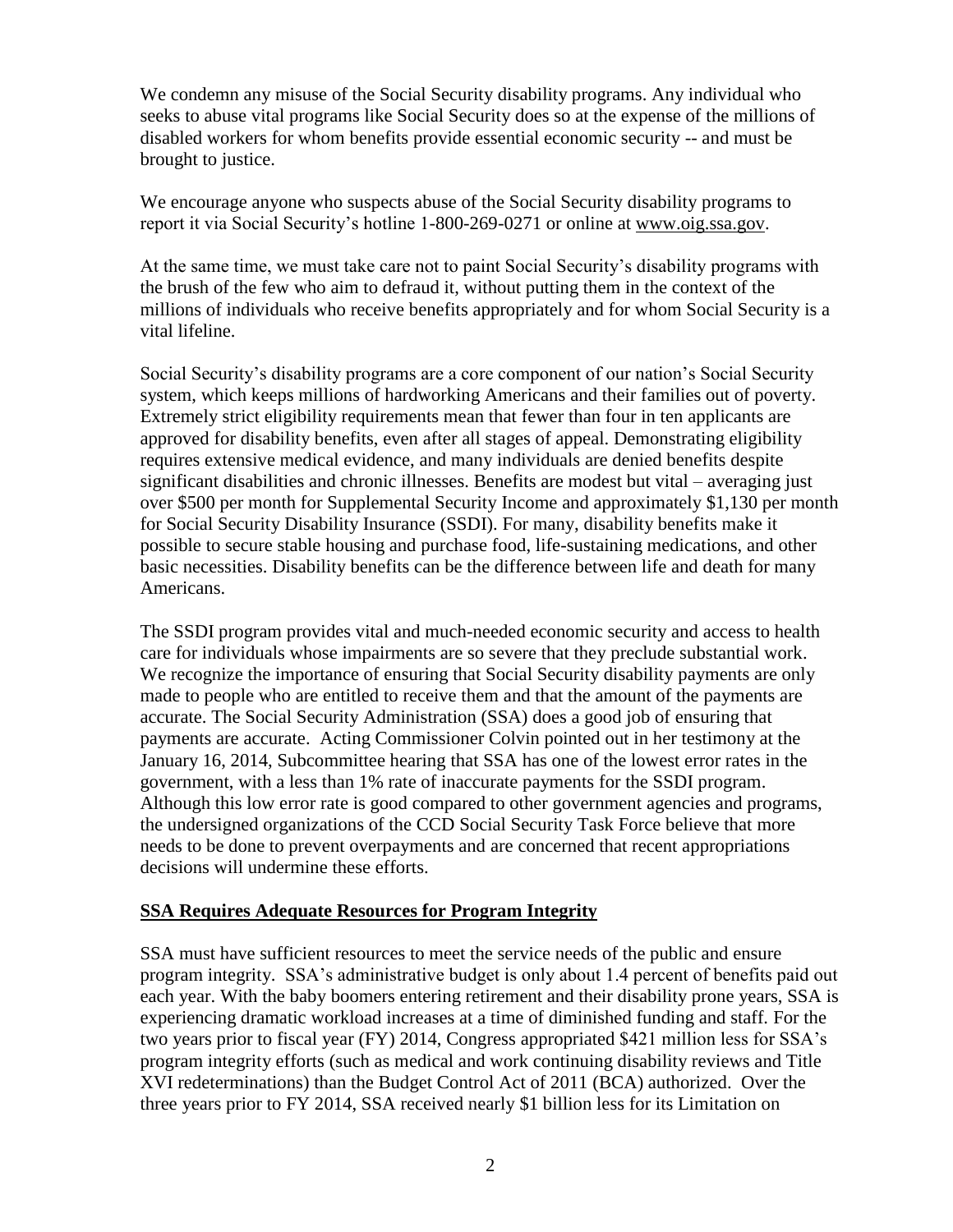We condemn any misuse of the Social Security disability programs. Any individual who seeks to abuse vital programs like Social Security does so at the expense of the millions of disabled workers for whom benefits provide essential economic security -- and must be brought to justice.

We encourage anyone who suspects abuse of the Social Security disability programs to report it via Social Security's hotline 1-800-269-0271 or online at [www.oig.ssa.gov.](http://www.oig.ssa.gov/)

At the same time, we must take care not to paint Social Security's disability programs with the brush of the few who aim to defraud it, without putting them in the context of the millions of individuals who receive benefits appropriately and for whom Social Security is a vital lifeline.

Social Security's disability programs are a core component of our nation's Social Security system, which keeps millions of hardworking Americans and their families out of poverty. Extremely strict eligibility requirements mean that fewer than four in ten applicants are approved for disability benefits, even after all stages of appeal. Demonstrating eligibility requires extensive medical evidence, and many individuals are denied benefits despite significant disabilities and chronic illnesses. Benefits are modest but vital – averaging just over \$500 per month for Supplemental Security Income and approximately \$1,130 per month for Social Security Disability Insurance (SSDI). For many, disability benefits make it possible to secure stable housing and purchase food, life-sustaining medications, and other basic necessities. Disability benefits can be the difference between life and death for many Americans.

The SSDI program provides vital and much-needed economic security and access to health care for individuals whose impairments are so severe that they preclude substantial work. We recognize the importance of ensuring that Social Security disability payments are only made to people who are entitled to receive them and that the amount of the payments are accurate. The Social Security Administration (SSA) does a good job of ensuring that payments are accurate. Acting Commissioner Colvin pointed out in her testimony at the January 16, 2014, Subcommittee hearing that SSA has one of the lowest error rates in the government, with a less than 1% rate of inaccurate payments for the SSDI program. Although this low error rate is good compared to other government agencies and programs, the undersigned organizations of the CCD Social Security Task Force believe that more needs to be done to prevent overpayments and are concerned that recent appropriations decisions will undermine these efforts.

#### **SSA Requires Adequate Resources for Program Integrity**

SSA must have sufficient resources to meet the service needs of the public and ensure program integrity. SSA's administrative budget is only about 1.4 percent of benefits paid out each year. With the baby boomers entering retirement and their disability prone years, SSA is experiencing dramatic workload increases at a time of diminished funding and staff. For the two years prior to fiscal year (FY) 2014, Congress appropriated \$421 million less for SSA's program integrity efforts (such as medical and work continuing disability reviews and Title XVI redeterminations) than the Budget Control Act of 2011 (BCA) authorized. Over the three years prior to FY 2014, SSA received nearly \$1 billion less for its Limitation on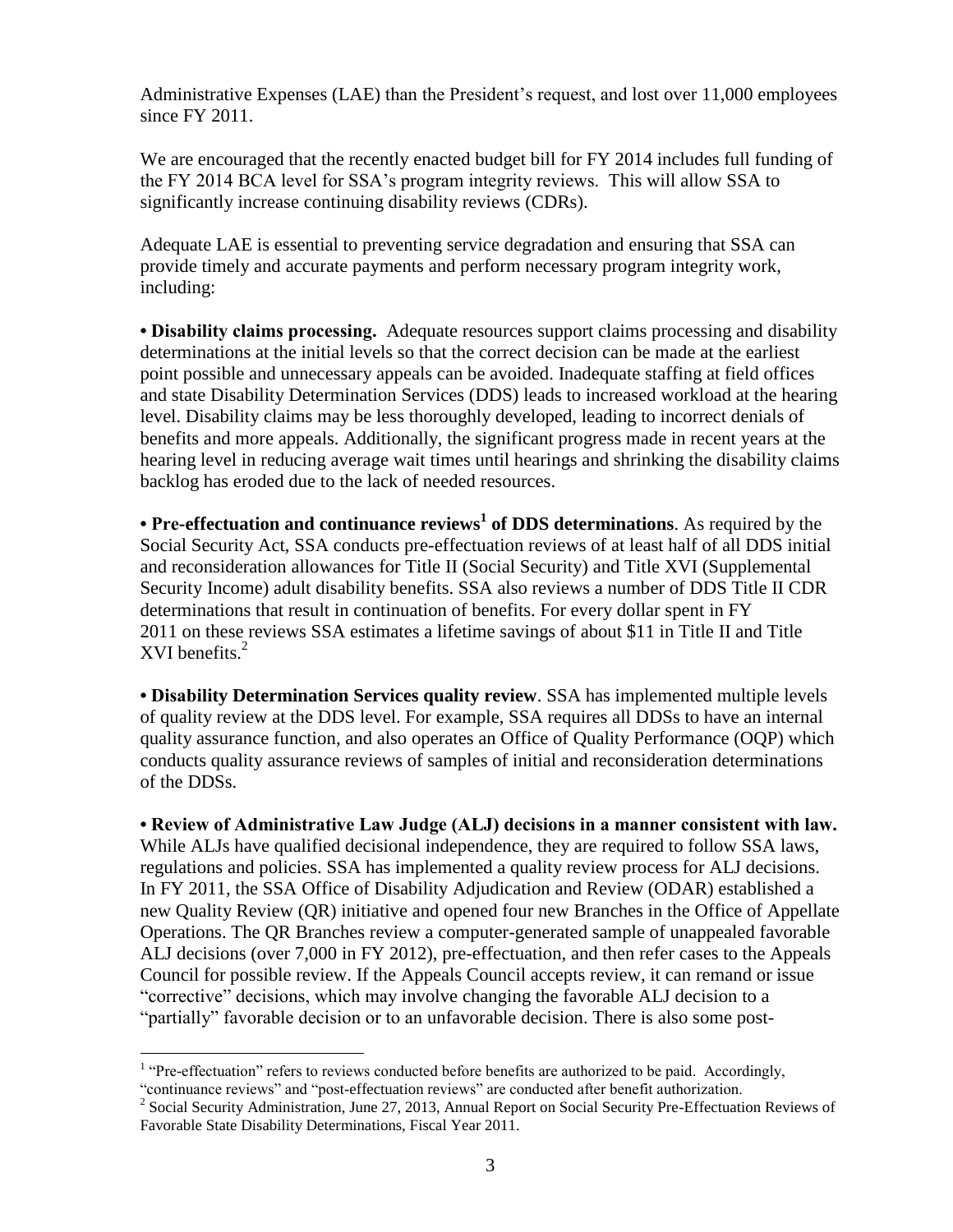Administrative Expenses (LAE) than the President's request, and lost over 11,000 employees since FY 2011.

We are encouraged that the recently enacted budget bill for FY 2014 includes full funding of the FY 2014 BCA level for SSA's program integrity reviews. This will allow SSA to significantly increase continuing disability reviews (CDRs).

Adequate LAE is essential to preventing service degradation and ensuring that SSA can provide timely and accurate payments and perform necessary program integrity work, including:

**• Disability claims processing.** Adequate resources support claims processing and disability determinations at the initial levels so that the correct decision can be made at the earliest point possible and unnecessary appeals can be avoided. Inadequate staffing at field offices and state Disability Determination Services (DDS) leads to increased workload at the hearing level. Disability claims may be less thoroughly developed, leading to incorrect denials of benefits and more appeals. Additionally, the significant progress made in recent years at the hearing level in reducing average wait times until hearings and shrinking the disability claims backlog has eroded due to the lack of needed resources.

**• Pre-effectuation and continuance reviews<sup>1</sup> of DDS determinations**. As required by the Social Security Act, SSA conducts pre-effectuation reviews of at least half of all DDS initial and reconsideration allowances for Title II (Social Security) and Title XVI (Supplemental Security Income) adult disability benefits. SSA also reviews a number of DDS Title II CDR determinations that result in continuation of benefits. For every dollar spent in FY 2011 on these reviews SSA estimates a lifetime savings of about \$11 in Title II and Title XVI benefits. $<sup>2</sup>$ </sup>

**• Disability Determination Services quality review**. SSA has implemented multiple levels of quality review at the DDS level. For example, SSA requires all DDSs to have an internal quality assurance function, and also operates an Office of Quality Performance (OQP) which conducts quality assurance reviews of samples of initial and reconsideration determinations of the DDSs.

**• Review of Administrative Law Judge (ALJ) decisions in a manner consistent with law.** While ALJs have qualified decisional independence, they are required to follow SSA laws, regulations and policies. SSA has implemented a quality review process for ALJ decisions. In FY 2011, the SSA Office of Disability Adjudication and Review (ODAR) established a new Quality Review (QR) initiative and opened four new Branches in the Office of Appellate Operations. The QR Branches review a computer-generated sample of unappealed favorable ALJ decisions (over 7,000 in FY 2012), pre-effectuation, and then refer cases to the Appeals Council for possible review. If the Appeals Council accepts review, it can remand or issue "corrective" decisions, which may involve changing the favorable ALJ decision to a "partially" favorable decision or to an unfavorable decision. There is also some post-

<sup>&</sup>lt;sup>1</sup> "Pre-effectuation" refers to reviews conducted before benefits are authorized to be paid. Accordingly, "continuance reviews" and "post-effectuation reviews" are conducted after benefit authorization.

<sup>&</sup>lt;sup>2</sup> Social Security Administration, June 27, 2013, Annual Report on Social Security Pre-Effectuation Reviews of Favorable State Disability Determinations, Fiscal Year 2011.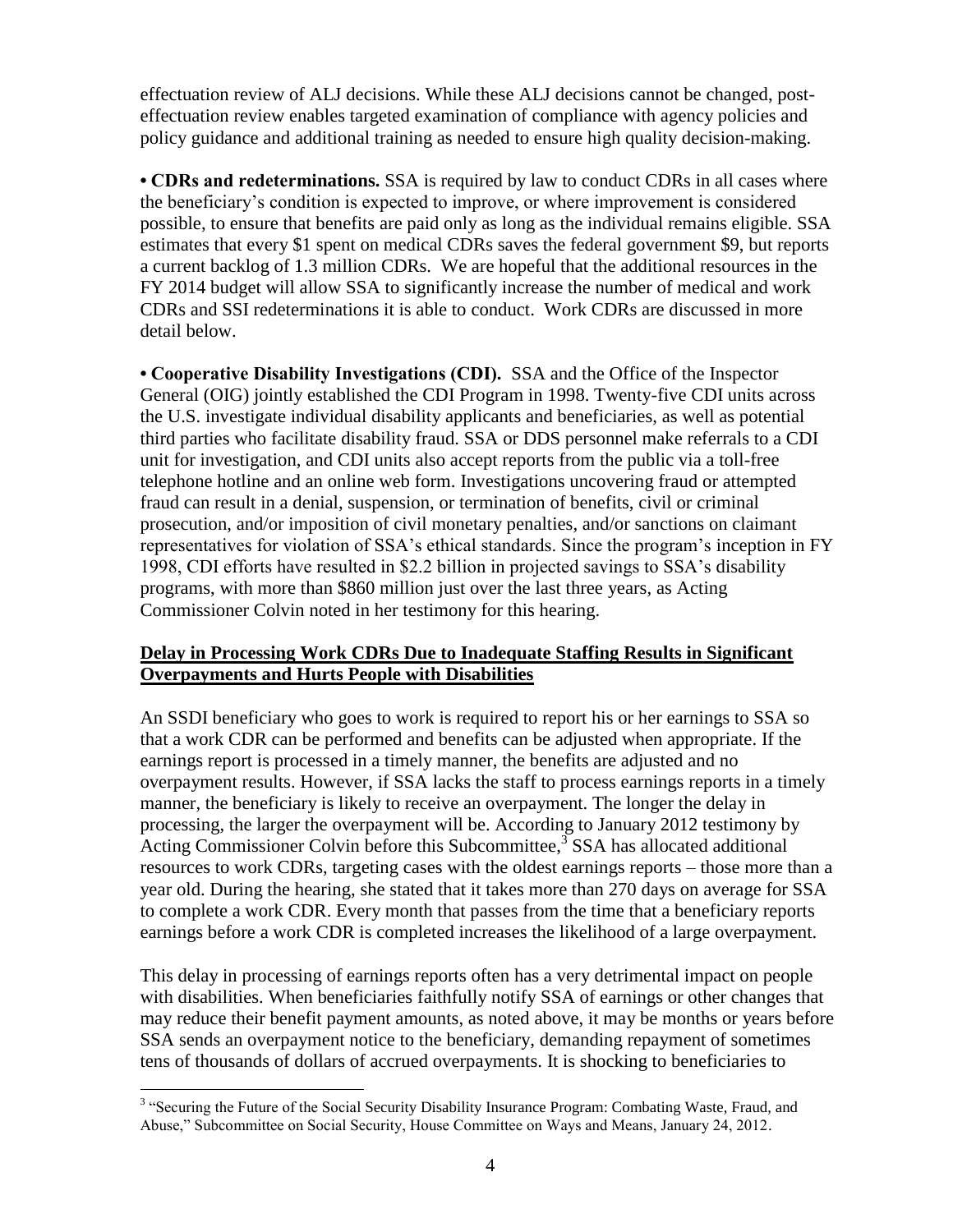effectuation review of ALJ decisions. While these ALJ decisions cannot be changed, posteffectuation review enables targeted examination of compliance with agency policies and policy guidance and additional training as needed to ensure high quality decision-making.

**• CDRs and redeterminations.** SSA is required by law to conduct CDRs in all cases where the beneficiary's condition is expected to improve, or where improvement is considered possible, to ensure that benefits are paid only as long as the individual remains eligible. SSA estimates that every \$1 spent on medical CDRs saves the federal government \$9, but reports a current backlog of 1.3 million CDRs. We are hopeful that the additional resources in the FY 2014 budget will allow SSA to significantly increase the number of medical and work CDRs and SSI redeterminations it is able to conduct. Work CDRs are discussed in more detail below.

**• Cooperative Disability Investigations (CDI).** SSA and the Office of the Inspector General (OIG) jointly established the CDI Program in 1998. Twenty-five CDI units across the U.S. investigate individual disability applicants and beneficiaries, as well as potential third parties who facilitate disability fraud. SSA or DDS personnel make referrals to a CDI unit for investigation, and CDI units also accept reports from the public via a toll-free telephone hotline and an online web form. Investigations uncovering fraud or attempted fraud can result in a denial, suspension, or termination of benefits, civil or criminal prosecution, and/or imposition of civil monetary penalties, and/or sanctions on claimant representatives for violation of SSA's ethical standards. Since the program's inception in FY 1998, CDI efforts have resulted in \$2.2 billion in projected savings to SSA's disability programs, with more than \$860 million just over the last three years, as Acting Commissioner Colvin noted in her testimony for this hearing.

#### **Delay in Processing Work CDRs Due to Inadequate Staffing Results in Significant Overpayments and Hurts People with Disabilities**

An SSDI beneficiary who goes to work is required to report his or her earnings to SSA so that a work CDR can be performed and benefits can be adjusted when appropriate. If the earnings report is processed in a timely manner, the benefits are adjusted and no overpayment results. However, if SSA lacks the staff to process earnings reports in a timely manner, the beneficiary is likely to receive an overpayment. The longer the delay in processing, the larger the overpayment will be. According to January 2012 testimony by Acting Commissioner Colvin before this Subcommittee,<sup>3</sup> SSA has allocated additional resources to work CDRs, targeting cases with the oldest earnings reports – those more than a year old. During the hearing, she stated that it takes more than 270 days on average for SSA to complete a work CDR. Every month that passes from the time that a beneficiary reports earnings before a work CDR is completed increases the likelihood of a large overpayment.

This delay in processing of earnings reports often has a very detrimental impact on people with disabilities. When beneficiaries faithfully notify SSA of earnings or other changes that may reduce their benefit payment amounts, as noted above, it may be months or years before SSA sends an overpayment notice to the beneficiary, demanding repayment of sometimes tens of thousands of dollars of accrued overpayments. It is shocking to beneficiaries to

 $\overline{a}$ <sup>3</sup> "Securing the Future of the Social Security Disability Insurance Program: Combating Waste, Fraud, and Abuse," Subcommittee on Social Security, House Committee on Ways and Means, January 24, 2012.